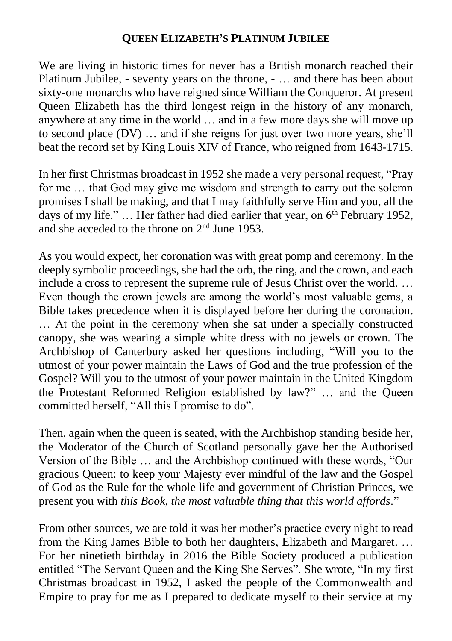## **QUEEN ELIZABETH'S PLATINUM JUBILEE**

We are living in historic times for never has a British monarch reached their Platinum Jubilee, - seventy years on the throne, - … and there has been about sixty-one monarchs who have reigned since William the Conqueror. At present Queen Elizabeth has the third longest reign in the history of any monarch, anywhere at any time in the world … and in a few more days she will move up to second place (DV) … and if she reigns for just over two more years, she'll beat the record set by King Louis XIV of France, who reigned from 1643-1715.

In her first Christmas broadcast in 1952 she made a very personal request, "Pray for me … that God may give me wisdom and strength to carry out the solemn promises I shall be making, and that I may faithfully serve Him and you, all the days of my life."  $\ldots$  Her father had died earlier that year, on 6<sup>th</sup> February 1952, and she acceded to the throne on 2nd June 1953.

As you would expect, her coronation was with great pomp and ceremony. In the deeply symbolic proceedings, she had the orb, the ring, and the crown, and each include a cross to represent the supreme rule of Jesus Christ over the world. … Even though the crown jewels are among the world's most valuable gems, a Bible takes precedence when it is displayed before her during the coronation. … At the point in the ceremony when she sat under a specially constructed canopy, she was wearing a simple white dress with no jewels or crown. The Archbishop of Canterbury asked her questions including, "Will you to the utmost of your power maintain the Laws of God and the true profession of the Gospel? Will you to the utmost of your power maintain in the United Kingdom the Protestant Reformed Religion established by law?" … and the Queen committed herself, "All this I promise to do".

Then, again when the queen is seated, with the Archbishop standing beside her, the Moderator of the Church of Scotland personally gave her the Authorised Version of the Bible … and the Archbishop continued with these words, "Our gracious Queen: to keep your Majesty ever mindful of the law and the Gospel of God as the Rule for the whole life and government of Christian Princes, we present you with *this Book, the most valuable thing that this world affords*."

From other sources, we are told it was her mother's practice every night to read from the King James Bible to both her daughters, Elizabeth and Margaret. … For her ninetieth birthday in 2016 the Bible Society produced a publication entitled "The Servant Queen and the King She Serves". She wrote, "In my first Christmas broadcast in 1952, I asked the people of the Commonwealth and Empire to pray for me as I prepared to dedicate myself to their service at my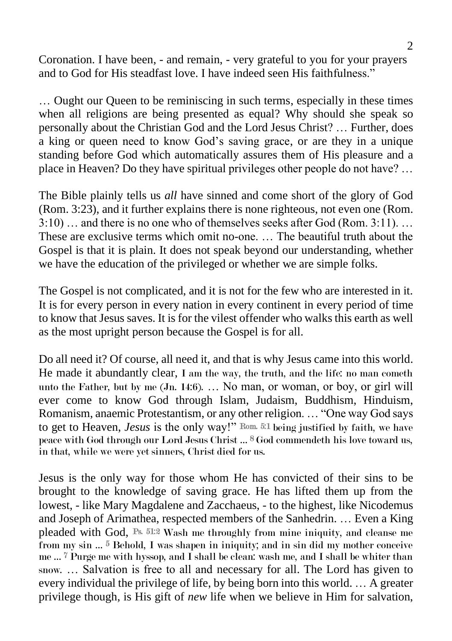Coronation. I have been, - and remain, - very grateful to you for your prayers and to God for His steadfast love. I have indeed seen His faithfulness."

… Ought our Queen to be reminiscing in such terms, especially in these times when all religions are being presented as equal? Why should she speak so personally about the Christian God and the Lord Jesus Christ? … Further, does a king or queen need to know God's saving grace, or are they in a unique standing before God which automatically assures them of His pleasure and a place in Heaven? Do they have spiritual privileges other people do not have? …

The Bible plainly tells us *all* have sinned and come short of the glory of God (Rom. 3:23), and it further explains there is none righteous, not even one (Rom. 3:10) … and there is no one who of themselves seeks after God (Rom. 3:11). … These are exclusive terms which omit no-one. … The beautiful truth about the Gospel is that it is plain. It does not speak beyond our understanding, whether we have the education of the privileged or whether we are simple folks.

The Gospel is not complicated, and it is not for the few who are interested in it. It is for every person in every nation in every continent in every period of time to know that Jesus saves. It is for the vilest offender who walks this earth as well as the most upright person because the Gospel is for all.

Do all need it? Of course, all need it, and that is why Jesus came into this world. He made it abundantly clear, I am the way, the truth, and the life: no man cometh unto the Father, but by me (Jn. 14:6). … No man, or woman, or boy, or girl will ever come to know God through Islam, Judaism, Buddhism, Hinduism, Romanism, anaemic Protestantism, or any other religion. … "One way God says to get to Heaven, *Jesus* is the only way!" Rom. 5:1 being justified by faith, we have peace with God through our Lord Jesus Christ … 8 God commendeth his love toward us, in that, while we were yet sinners, Christ died for us.

Jesus is the only way for those whom He has convicted of their sins to be brought to the knowledge of saving grace. He has lifted them up from the lowest, - like Mary Magdalene and Zacchaeus, - to the highest, like Nicodemus and Joseph of Arimathea, respected members of the Sanhedrin. … Even a King pleaded with God, Ps. 51:2 Wash me throughly from mine iniquity, and cleanse me from my sin ... <sup>5</sup> Behold, I was shapen in iniquity; and in sin did my mother conceive me … 7 Purge me with hyssop, and I shall be clean: wash me, and I shall be whiter than snow. … Salvation is free to all and necessary for all. The Lord has given to every individual the privilege of life, by being born into this world. … A greater privilege though, is His gift of *new* life when we believe in Him for salvation,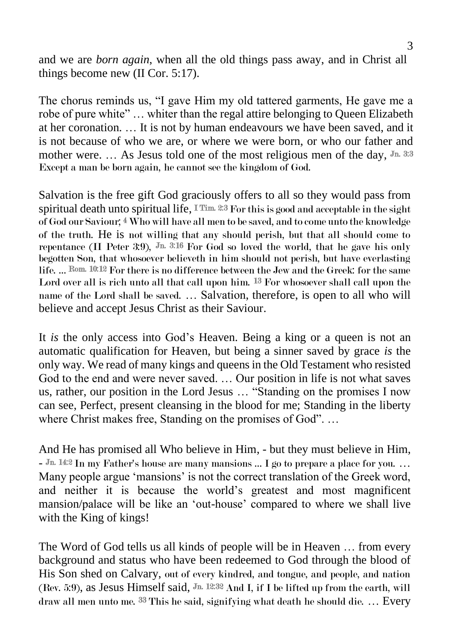and we are *born again*, when all the old things pass away, and in Christ all things become new (II Cor. 5:17).

The chorus reminds us, "I gave Him my old tattered garments, He gave me a robe of pure white" … whiter than the regal attire belonging to Queen Elizabeth at her coronation. … It is not by human endeavours we have been saved, and it is not because of who we are, or where we were born, or who our father and mother were. ... As Jesus told one of the most religious men of the day,  $J_n$  3:3 Except a man be born again, he cannot see the kingdom of God.

Salvation is the free gift God graciously offers to all so they would pass from spiritual death unto spiritual life, ITim. 2:3 For this is good and acceptable in the sight of God our Saviour; 4 Who will have all men to be saved, and to come unto the knowledge of the truth. He is not willing that any should perish, but that all should come to repentance (II Peter 3:9),  $J<sub>n</sub>$  3:16 For God so loved the world, that he gave his only begotten Son, that whosoever believeth in him should not perish, but have everlasting life. … Rom. 10:12 For there is no difference between the Jew and the Greek: for the same Lord over all is rich unto all that call upon him. 13 For whosoever shall call upon the name of the Lord shall be saved. … Salvation, therefore, is open to all who will believe and accept Jesus Christ as their Saviour.

It *is* the only access into God's Heaven. Being a king or a queen is not an automatic qualification for Heaven, but being a sinner saved by grace *is* the only way. We read of many kings and queens in the Old Testament who resisted God to the end and were never saved. … Our position in life is not what saves us, rather, our position in the Lord Jesus … "Standing on the promises I now can see, Perfect, present cleansing in the blood for me; Standing in the liberty where Christ makes free, Standing on the promises of God". ...

And He has promised all Who believe in Him, - but they must believe in Him, - Jn. 14:2 In my Father's house are many mansions ... I go to prepare a place for you. ... Many people argue 'mansions' is not the correct translation of the Greek word, and neither it is because the world's greatest and most magnificent mansion/palace will be like an 'out-house' compared to where we shall live with the King of kings!

The Word of God tells us all kinds of people will be in Heaven … from every background and status who have been redeemed to God through the blood of His Son shed on Calvary, out of every kindred, and tongue, and people, and nation (Rev. 5:9), as Jesus Himself said,  $J<sub>m</sub>$  12:32 And I, if I be lifted up from the earth, will draw all men unto me. 33 This he said, signifying what death he should die. … Every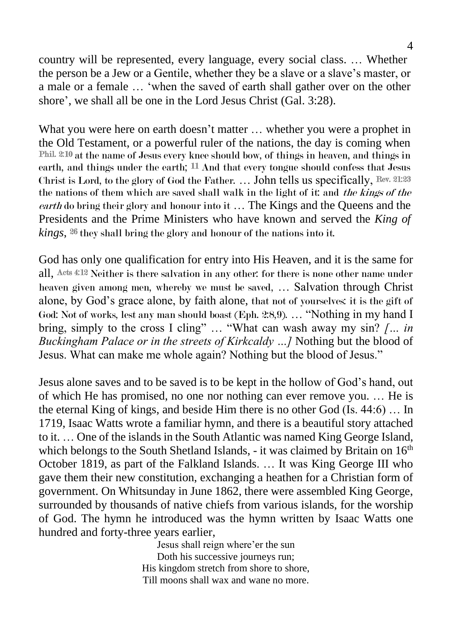country will be represented, every language, every social class. … Whether the person be a Jew or a Gentile, whether they be a slave or a slave's master, or a male or a female … 'when the saved of earth shall gather over on the other shore', we shall all be one in the Lord Jesus Christ (Gal. 3:28).

What you were here on earth doesn't matter ... whether you were a prophet in the Old Testament, or a powerful ruler of the nations, the day is coming when Phil. 2:10 at the name of Jesus every knee should bow, of things in heaven, and things in earth, and things under the earth;  $11$  And that every tongue should confess that Jesus Christ is Lord, to the glory of God the Father. … John tells us specifically, Rev. 21:23 the nations of them which are saved shall walk in the light of it: and the kings of the earth do bring their glory and honour into it … The Kings and the Queens and the Presidents and the Prime Ministers who have known and served the *King of kings*, 26 they shall bring the glory and honour of the nations into it.

God has only one qualification for entry into His Heaven, and it is the same for all, Acts 4:12 Neither is there salvation in any other: for there is none other name under heaven given among men, whereby we must be saved, … Salvation through Christ alone, by God's grace alone, by faith alone, that not of yourselves: it is the gift of God: Not of works, lest any man should boast (Eph. 2:8,9). ... "Nothing in my hand I bring, simply to the cross I cling" ... "What can wash away my sin? *[... in Buckingham Palace or in the streets of Kirkcaldy …]* Nothing but the blood of Jesus. What can make me whole again? Nothing but the blood of Jesus."

Jesus alone saves and to be saved is to be kept in the hollow of God's hand, out of which He has promised, no one nor nothing can ever remove you. … He is the eternal King of kings, and beside Him there is no other God (Is. 44:6) … In 1719, Isaac Watts wrote a familiar hymn, and there is a beautiful story attached to it. … One of the islands in the South Atlantic was named King George Island, which belongs to the South Shetland Islands, - it was claimed by Britain on  $16<sup>th</sup>$ October 1819, as part of the Falkland Islands. … It was King George III who gave them their new constitution, exchanging a heathen for a Christian form of government. On Whitsunday in June 1862, there were assembled King George, surrounded by thousands of native chiefs from various islands, for the worship of God. The hymn he introduced was the hymn written by Isaac Watts one hundred and forty-three years earlier,

> Jesus shall reign where'er the sun Doth his successive journeys run; His kingdom stretch from shore to shore, Till moons shall wax and wane no more.